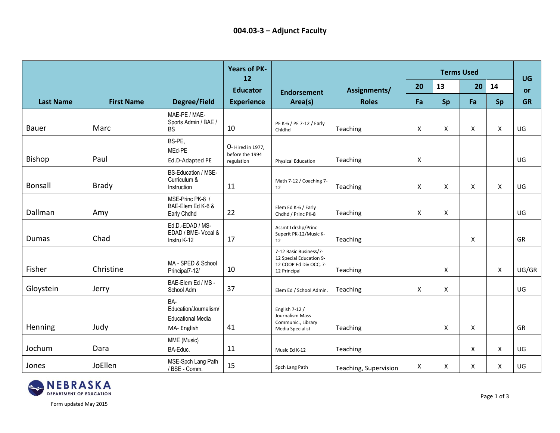|                  |                   |                                                                        | <b>Years of PK-</b><br>12                          |                                                                                             |                       | <b>Terms Used</b> |    |    |                | <b>UG</b> |
|------------------|-------------------|------------------------------------------------------------------------|----------------------------------------------------|---------------------------------------------------------------------------------------------|-----------------------|-------------------|----|----|----------------|-----------|
|                  |                   |                                                                        | <b>Educator</b>                                    | <b>Endorsement</b>                                                                          | Assignments/          | 20                | 13 | 20 | 14             | <b>or</b> |
| <b>Last Name</b> | <b>First Name</b> | <b>Degree/Field</b>                                                    | <b>Experience</b>                                  | Area(s)                                                                                     | <b>Roles</b>          | Fa                | Sp | Fa | Sp             | <b>GR</b> |
| Bauer            | Marc              | MAE-PE / MAE-<br>Sports Admin / BAE /<br><b>BS</b>                     | 10                                                 | PE K-6 / PE 7-12 / Early<br>Chidhd                                                          | Teaching              | X                 | X  | X  | $\pmb{\times}$ | UG        |
| <b>Bishop</b>    | Paul              | BS-PE,<br>MEd-PE<br>Ed.D-Adapted PE                                    | 0- Hired in 1977.<br>before the 1994<br>regulation | <b>Physical Education</b>                                                                   | Teaching              | X                 |    |    |                | UG        |
| <b>Bonsall</b>   | <b>Brady</b>      | <b>BS-Education / MSE-</b><br>Curriculum &<br>Instruction              | 11                                                 | Math 7-12 / Coaching 7-<br>12                                                               | Teaching              | X                 | X  | X  | X              | UG        |
| Dallman          | Amy               | MSE-Princ PK-8 /<br>BAE-Elem Ed K-6 &<br>Early Chdhd                   | 22                                                 | Elem Ed K-6 / Early<br>Chdhd / Princ PK-8                                                   | Teaching              | X                 | X  |    |                | UG        |
| Dumas            | Chad              | Ed.D.-EDAD / MS-<br>EDAD / BME- Vocal &<br>Instru K-12                 | 17                                                 | Assmt Ldrshp/Princ-<br>Superit PK-12/Music K-<br>12                                         | Teaching              |                   |    | X  |                | GR        |
| Fisher           | Christine         | MA - SPED & School<br>Principal7-12/                                   | 10                                                 | 7-12 Basic Business/7-<br>12 Special Education 9-<br>12 COOP Ed Div OCC, 7-<br>12 Principal | Teaching              |                   | X  |    | X              | UG/GR     |
| Gloystein        | Jerry             | BAE-Elem Ed / MS -<br>School Adm                                       | 37                                                 | Elem Ed / School Admin.                                                                     | Teaching              | X                 | Χ  |    |                | UG        |
| Henning          | Judy              | BA-<br>Education/Journalism/<br><b>Educational Media</b><br>MA-English | 41                                                 | English 7-12 /<br>Journalism Mass<br>Communic., Library<br>Media Specialist                 | Teaching              |                   | X  | X  |                | GR        |
| Jochum           | Dara              | MME (Music)<br>BA-Educ.                                                | 11                                                 | Music Ed K-12                                                                               | Teaching              |                   |    | X  | X              | UG        |
| Jones            | JoEllen           | MSE-Spch Lang Path<br>/ BSE - Comm.                                    | 15                                                 | Spch Lang Path                                                                              | Teaching, Supervision | X                 | Χ  | X  | $\pmb{\times}$ | UG        |

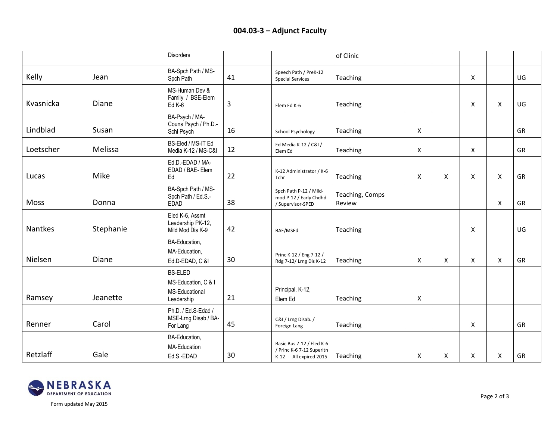## **004.03-3 – Adjunct Faculty**

|           |           | <b>Disorders</b>                                                      |    |                                                                                     | of Clinic                 |   |   |                |                    |    |
|-----------|-----------|-----------------------------------------------------------------------|----|-------------------------------------------------------------------------------------|---------------------------|---|---|----------------|--------------------|----|
| Kelly     | Jean      | BA-Spch Path / MS-<br>Spch Path                                       | 41 | Speech Path / PreK-12<br><b>Special Services</b>                                    | Teaching                  |   |   | X              |                    | UG |
| Kvasnicka | Diane     | MS-Human Dev &<br>Family / BSE-Elem<br>$Ed K-6$                       | 3  | Elem Ed K-6                                                                         | Teaching                  |   |   | $\pmb{\times}$ | $\pmb{\mathsf{X}}$ | UG |
| Lindblad  | Susan     | BA-Psych / MA-<br>Couns Psych / Ph.D.-<br>Schl Psych                  | 16 | <b>School Psychology</b>                                                            | Teaching                  | X |   |                |                    | GR |
| Loetscher | Melissa   | BS-Eled / MS-IT Ed<br>Media K-12 / MS-C&I                             | 12 | Ed Media K-12 / C&I /<br>Elem Ed                                                    | Teaching                  | X |   | $\pmb{\times}$ |                    | GR |
| Lucas     | Mike      | Ed.D.-EDAD / MA-<br>EDAD / BAE- Elem<br>Ed                            | 22 | K-12 Administrator / K-6<br>Tchr                                                    | Teaching                  | X | X | X              | X                  | GR |
| Moss      | Donna     | BA-Spch Path / MS-<br>Spch Path / Ed.S.-<br><b>EDAD</b>               | 38 | Spch Path P-12 / Mild-<br>mod P-12 / Early Chdhd<br>/ Supervisor-SPED               | Teaching, Comps<br>Review |   |   |                | $\pmb{\mathsf{X}}$ | GR |
| Nantkes   | Stephanie | Eled K-6, Assmt<br>Leadership PK-12,<br>Mild Mod Dis K-9              | 42 | BAE/MSEd                                                                            | Teaching                  |   |   | X              |                    | UG |
| Nielsen   | Diane     | BA-Education,<br>MA-Education,<br>Ed.D-EDAD, C &I                     | 30 | Princ K-12 / Eng 7-12 /<br>Rdg 7-12/ Lrng Dis K-12                                  | Teaching                  | X | X | X              | X                  | GR |
| Ramsey    | Jeanette  | <b>BS-ELED</b><br>MS-Education, C & I<br>MS-Educational<br>Leadership | 21 | Principal, K-12,<br>Elem Ed                                                         | Teaching                  | X |   |                |                    |    |
| Renner    | Carol     | Ph.D. / Ed.S-Edad /<br>MSE-Lrng Disab / BA-<br>For Lang               | 45 | C&I / Lrng Disab. /<br>Foreign Lang                                                 | Teaching                  |   |   | X              |                    | GR |
| Retzlaff  | Gale      | BA-Education,<br>MA-Education<br>Ed.S.-EDAD                           | 30 | Basic Bus 7-12 / Eled K-6<br>/ Princ K-6 7-12 Superitn<br>K-12 --- All expired 2015 | Teaching                  | X | X | Χ              | X                  | GR |